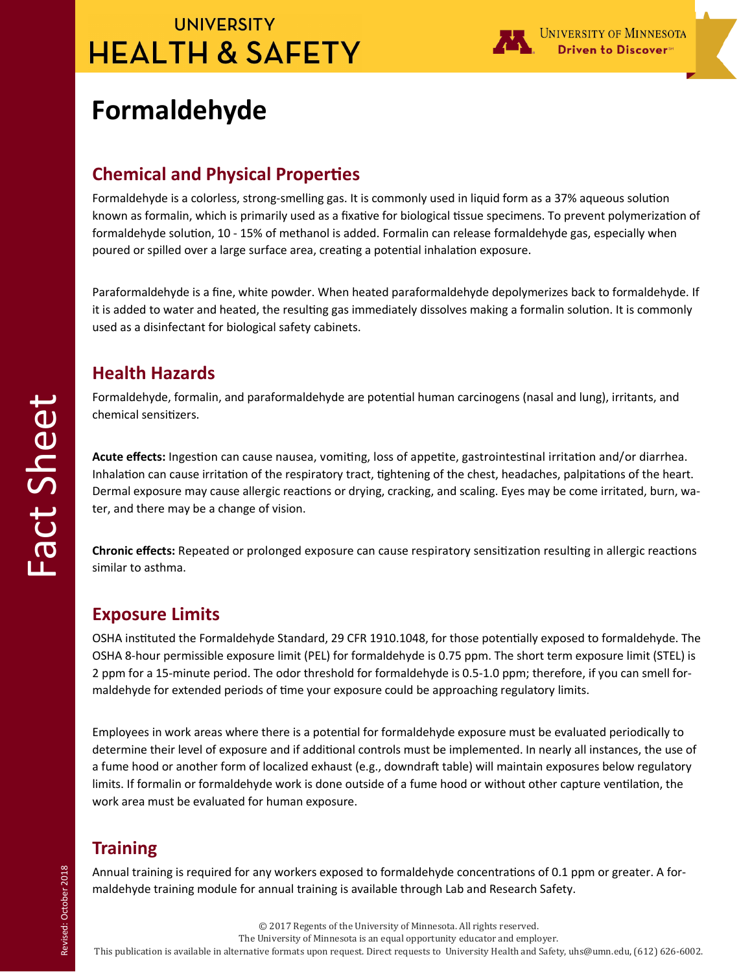# **UNIVERSITY HEALTH & SAFETY**



# **Formaldehyde**

## **Chemical and Physical Properties**

Formaldehyde is a colorless, strong-smelling gas. It is commonly used in liquid form as a 37% aqueous solution known as formalin, which is primarily used as a fixative for biological tissue specimens. To prevent polymerization of formaldehyde solution, 10 - 15% of methanol is added. Formalin can release formaldehyde gas, especially when poured or spilled over a large surface area, creating a potential inhalation exposure.

Paraformaldehyde is a fine, white powder. When heated paraformaldehyde depolymerizes back to formaldehyde. If it is added to water and heated, the resulting gas immediately dissolves making a formalin solution. It is commonly used as a disinfectant for biological safety cabinets.

### **Health Hazards**

Formaldehyde, formalin, and paraformaldehyde are potential human carcinogens (nasal and lung), irritants, and chemical sensitizers.

**Acute effects:** Ingestion can cause nausea, vomiting, loss of appetite, gastrointestinal irritation and/or diarrhea. Inhalation can cause irritation of the respiratory tract, tightening of the chest, headaches, palpitations of the heart. Dermal exposure may cause allergic reactions or drying, cracking, and scaling. Eyes may be come irritated, burn, water, and there may be a change of vision.

**Chronic effects:** Repeated or prolonged exposure can cause respiratory sensitization resulting in allergic reactions similar to asthma.

## **Exposure Limits**

OSHA instituted the Formaldehyde Standard, 29 CFR 1910.1048, for those potentially exposed to formaldehyde. The OSHA 8-hour permissible exposure limit (PEL) for formaldehyde is 0.75 ppm. The short term exposure limit (STEL) is 2 ppm for a 15-minute period. The odor threshold for formaldehyde is 0.5-1.0 ppm; therefore, if you can smell formaldehyde for extended periods of time your exposure could be approaching regulatory limits.

Employees in work areas where there is a potential for formaldehyde exposure must be evaluated periodically to determine their level of exposure and if additional controls must be implemented. In nearly all instances, the use of a fume hood or another form of localized exhaust (e.g., downdraft table) will maintain exposures below regulatory limits. If formalin or formaldehyde work is done outside of a fume hood or without other capture ventilation, the work area must be evaluated for human exposure.

## **Training**

Annual training is required for any workers exposed to formaldehyde concentrations of 0.1 ppm or greater. A formaldehyde training module for annual training is available through Lab and Research Safety.

© 2017 Regents of the University of Minnesota. All rights reserved.

The University of Minnesota is an equal opportunity educator and employer.

This publication is available in alternative formats upon request. Direct requests to University Health and Safety, uhs@umn.edu, (612) 626-6002.